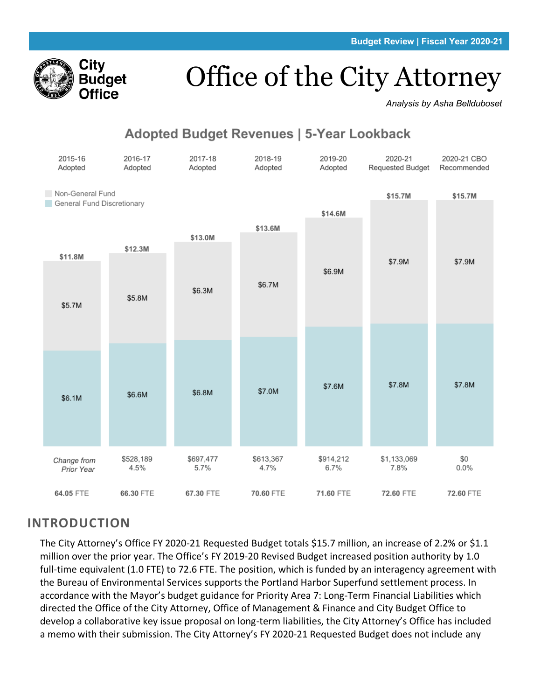

# Office of the City Attorney

*Analysis by Asha Bellduboset*

# **Adopted Budget Revenues | 5-Year Lookback**



# **INTRODUCTION**

The City Attorney's Office FY 2020-21 Requested Budget totals \$15.7 million, an increase of 2.2% or \$1.1 million over the prior year. The Office's FY 2019-20 Revised Budget increased position authority by 1.0 full-time equivalent (1.0 FTE) to 72.6 FTE. The position, which is funded by an interagency agreement with the Bureau of Environmental Services supports the Portland Harbor Superfund settlement process. In accordance with the Mayor's budget guidance for Priority Area 7: Long-Term Financial Liabilities which directed the Office of the City Attorney, Office of Management & Finance and City Budget Office to develop a collaborative key issue proposal on long-term liabilities, the City Attorney's Office has included a memo with their submission. The City Attorney's FY 2020-21 Requested Budget does not include any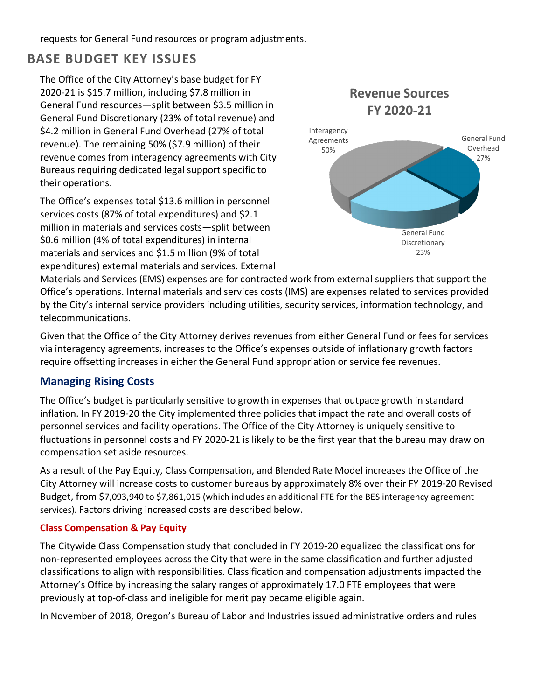requests for General Fund resources or program adjustments.

# **BASE BUDGET KEY ISSUES**

The Office of the City Attorney's base budget for FY 2020-21 is \$15.7 million, including \$7.8 million in General Fund resources—split between \$3.5 million in General Fund Discretionary (23% of total revenue) and \$4.2 million in General Fund Overhead (27% of total revenue). The remaining 50% (\$7.9 million) of their revenue comes from interagency agreements with City Bureaus requiring dedicated legal support specific to their operations.

The Office's expenses total \$13.6 million in personnel services costs (87% of total expenditures) and \$2.1 million in materials and services costs—split between \$0.6 million (4% of total expenditures) in internal materials and services and \$1.5 million (9% of total expenditures) external materials and services. External



Materials and Services (EMS) expenses are for contracted work from external suppliers that support the Office's operations. Internal materials and services costs (IMS) are expenses related to services provided by the City's internal service providers including utilities, security services, information technology, and telecommunications.

Given that the Office of the City Attorney derives revenues from either General Fund or fees for services via interagency agreements, increases to the Office's expenses outside of inflationary growth factors require offsetting increases in either the General Fund appropriation or service fee revenues.

### **Managing Rising Costs**

The Office's budget is particularly sensitive to growth in expenses that outpace growth in standard inflation. In FY 2019-20 the City implemented three policies that impact the rate and overall costs of personnel services and facility operations. The Office of the City Attorney is uniquely sensitive to fluctuations in personnel costs and FY 2020-21 is likely to be the first year that the bureau may draw on compensation set aside resources.

As a result of the Pay Equity, Class Compensation, and Blended Rate Model increases the Office of the City Attorney will increase costs to customer bureaus by approximately 8% over their FY 2019-20 Revised Budget, from \$7,093,940 to \$7,861,015 (which includes an additional FTE for the BES interagency agreement services). Factors driving increased costs are described below.

### **Class Compensation & Pay Equity**

The Citywide Class Compensation study that concluded in FY 2019-20 equalized the classifications for non-represented employees across the City that were in the same classification and further adjusted classifications to align with responsibilities. Classification and compensation adjustments impacted the Attorney's Office by increasing the salary ranges of approximately 17.0 FTE employees that were previously at top-of-class and ineligible for merit pay became eligible again.

In November of 2018, Oregon's Bureau of Labor and Industries issued administrative orders and rules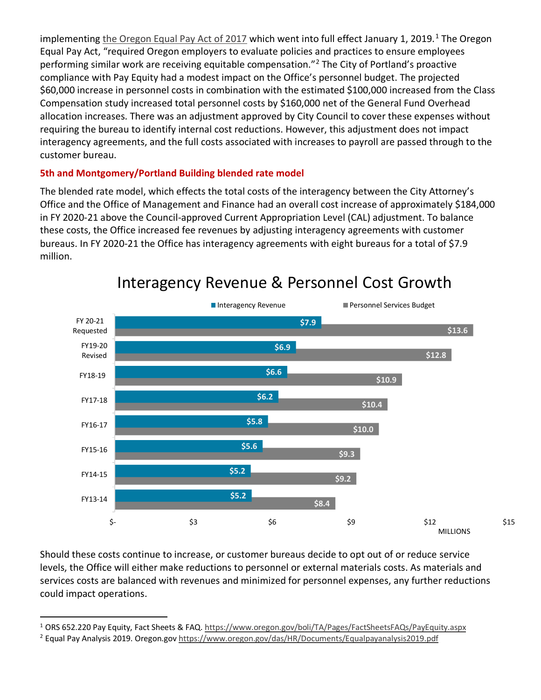implementing [the Oregon Equal Pay Act of 2017](https://www.oregon.gov/boli/TA/Pages/FactSheetsFAQs/PayEquity.aspx) which went into full effect January [1](#page-2-0), 2019.<sup>1</sup> The Oregon Equal Pay Act, "required Oregon employers to evaluate policies and practices to ensure employees performing similar work are receiving equitable compensation."[2](#page-2-1) The City of Portland's proactive compliance with Pay Equity had a modest impact on the Office's personnel budget. The projected \$60,000 increase in personnel costs in combination with the estimated \$100,000 increased from the Class Compensation study increased total personnel costs by \$160,000 net of the General Fund Overhead allocation increases. There was an adjustment approved by City Council to cover these expenses without requiring the bureau to identify internal cost reductions. However, this adjustment does not impact interagency agreements, and the full costs associated with increases to payroll are passed through to the customer bureau.

#### **5th and Montgomery/Portland Building blended rate model**

The blended rate model, which effects the total costs of the interagency between the City Attorney's Office and the Office of Management and Finance had an overall cost increase of approximately \$184,000 in FY 2020-21 above the Council-approved Current Appropriation Level (CAL) adjustment. To balance these costs, the Office increased fee revenues by adjusting interagency agreements with customer bureaus. In FY 2020-21 the Office has interagency agreements with eight bureaus for a total of \$7.9 million.



# Interagency Revenue & Personnel Cost Growth

Should these costs continue to increase, or customer bureaus decide to opt out of or reduce service levels, the Office will either make reductions to personnel or external materials costs. As materials and services costs are balanced with revenues and minimized for personnel expenses, any further reductions could impact operations.

<span id="page-2-1"></span><span id="page-2-0"></span><sup>&</sup>lt;sup>1</sup> ORS 652.220 Pay Equity, Fact Sheets & FAQ[. https://www.oregon.gov/boli/TA/Pages/FactSheetsFAQs/PayEquity.aspx](https://www.oregon.gov/boli/TA/Pages/FactSheetsFAQs/PayEquity.aspx) <sup>2</sup> Equal Pay Analysis 2019. Oregon.go[v https://www.oregon.gov/das/HR/Documents/Equalpayanalysis2019.pdf](https://www.oregon.gov/das/HR/Documents/Equalpayanalysis2019.pdf)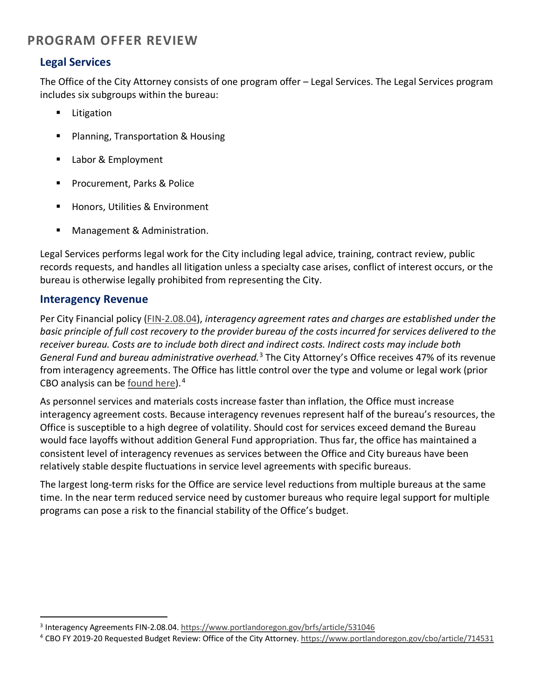# **PROGRAM OFFER REVIEW**

### **Legal Services**

The Office of the City Attorney consists of one program offer – Legal Services. The Legal Services program includes six subgroups within the bureau:

- **Litigation**
- **Planning, Transportation & Housing**
- **Labor & Employment**
- **Procurement, Parks & Police**
- Honors, Utilities & Environment
- **Management & Administration.**

Legal Services performs legal work for the City including legal advice, training, contract review, public records requests, and handles all litigation unless a specialty case arises, conflict of interest occurs, or the bureau is otherwise legally prohibited from representing the City.

### **Interagency Revenue**

Per City Financial policy [\(FIN-2.08.04\)](https://www.portlandoregon.gov/brfs/article/531046), *interagency agreement rates and charges are established under the basic principle of full cost recovery to the provider bureau of the costs incurred for services delivered to the receiver bureau. Costs are to include both direct and indirect costs. Indirect costs may include both General Fund and bureau administrative overhead.*[3](#page-3-0) The City Attorney's Office receives 47% of its revenue from interagency agreements. The Office has little control over the type and volume or legal work (prior CBO analysis can be [found here\)](https://www.portlandoregon.gov/cbo/article/714531).<sup>[4](#page-3-1)</sup>

As personnel services and materials costs increase faster than inflation, the Office must increase interagency agreement costs. Because interagency revenues represent half of the bureau's resources, the Office is susceptible to a high degree of volatility. Should cost for services exceed demand the Bureau would face layoffs without addition General Fund appropriation. Thus far, the office has maintained a consistent level of interagency revenues as services between the Office and City bureaus have been relatively stable despite fluctuations in service level agreements with specific bureaus.

The largest long-term risks for the Office are service level reductions from multiple bureaus at the same time. In the near term reduced service need by customer bureaus who require legal support for multiple programs can pose a risk to the financial stability of the Office's budget.

<span id="page-3-0"></span><sup>3</sup> Interagency Agreements FIN-2.08.04.<https://www.portlandoregon.gov/brfs/article/531046>

<span id="page-3-1"></span><sup>4</sup> CBO FY 2019-20 Requested Budget Review: Office of the City Attorney[. https://www.portlandoregon.gov/cbo/article/714531](https://www.portlandoregon.gov/cbo/article/714531)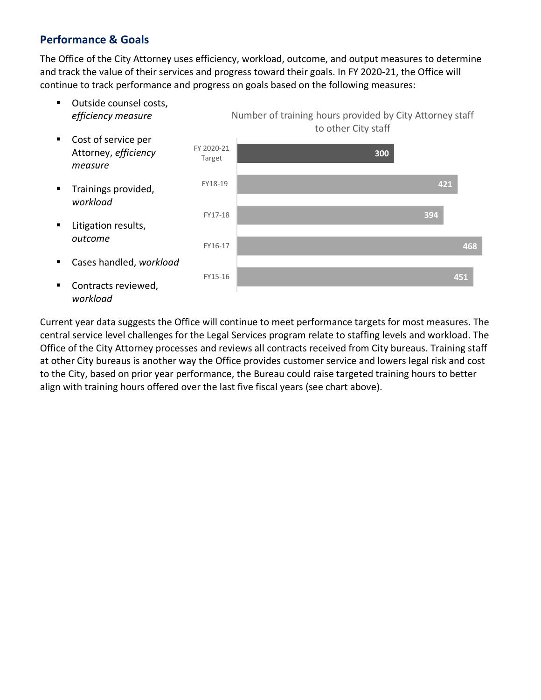### **Performance & Goals**

The Office of the City Attorney uses efficiency, workload, outcome, and output measures to determine and track the value of their services and progress toward their goals. In FY 2020-21, the Office will continue to track performance and progress on goals based on the following measures:

■ Outside counsel costs, *efficiency measure* Cost of service per Attorney, *efficiency measure* **Trainings provided,** *workload* **E** Litigation results, *outcome* Cases handled, *workload* ■ Contracts reviewed, *workload* **451 468 394 421 300** FY15-16 FY16-17 FY17-18 FY18-19 FY 2020-21 Target Number of training hours provided by City Attorney staff to other City staff

Current year data suggests the Office will continue to meet performance targets for most measures. The central service level challenges for the Legal Services program relate to staffing levels and workload. The Office of the City Attorney processes and reviews all contracts received from City bureaus. Training staff at other City bureaus is another way the Office provides customer service and lowers legal risk and cost to the City, based on prior year performance, the Bureau could raise targeted training hours to better align with training hours offered over the last five fiscal years (see chart above).